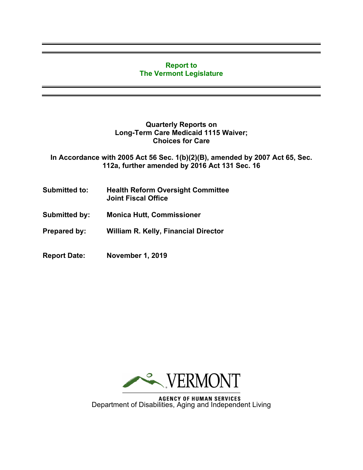## **Report to The Vermont Legislature**

## **Quarterly Reports on Long-Term Care Medicaid 1115 Waiver; Choices for Care**

**In Accordance with 2005 Act 56 Sec. 1(b)(2)(B), amended by 2007 Act 65, Sec. 112a, further amended by 2016 Act 131 Sec. 16**

- **Submitted to: Health Reform Oversight Committee Joint Fiscal Office**
- **Submitted by: Monica Hutt, Commissioner**
- **Prepared by: William R. Kelly, Financial Director**
- **Report Date: November 1, 2019**



**AGENCY OF HUMAN SERVICES** Department of Disabilities, Aging and Independent Living